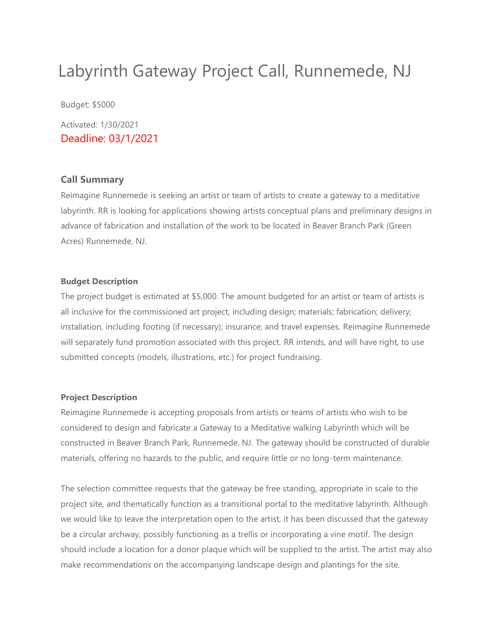## Labyrinth Gateway Project Call, Runnemede, NJ

Budget: \$5000

Activated: 1/30/2021 Deadline: 03/1/2021

#### **Call Summary**

Reimagine Runnemede is seeking an artist or team of artists to create a gateway to a meditative labyrinth. RR is looking for applications showing artists conceptual plans and preliminary designs in advance of fabrication and installation of the work to be located in Beaver Branch Park (Green Acres) Runnemede, NJ.

#### **Budget Description**

The project budget is estimated at \$5,000. The amount budgeted for an artist or team of artists is all inclusive for the commissioned art project, including design; materials; fabrication; delivery; installation, including footing (if necessary); insurance; and travel expenses. Reimagine Runnemede will separately fund promotion associated with this project. RR intends, and will have right, to use submitted concepts (models, illustrations, etc.) for project fundraising.

#### **Project Description**

Reimagine Runnemede is accepting proposals from artists or teams of artists who wish to be considered to design and fabricate a Gateway to a Meditative walking Labyrinth which will be constructed in Beaver Branch Park, Runnemede, NJ. The gateway should be constructed of durable materials, offering no hazards to the public, and require little or no long-term maintenance.

The selection committee requests that the gateway be free standing, appropriate in scale to the project site, and thematically function as a transitional portal to the meditative labyrinth. Although we would like to leave the interpretation open to the artist, it has been discussed that the gateway be a circular archway, possibly functioning as a trellis or incorporating a vine motif. The design should include a location for a donor plaque which will be supplied to the artist. The artist may also make recommendations on the accompanying landscape design and plantings for the site.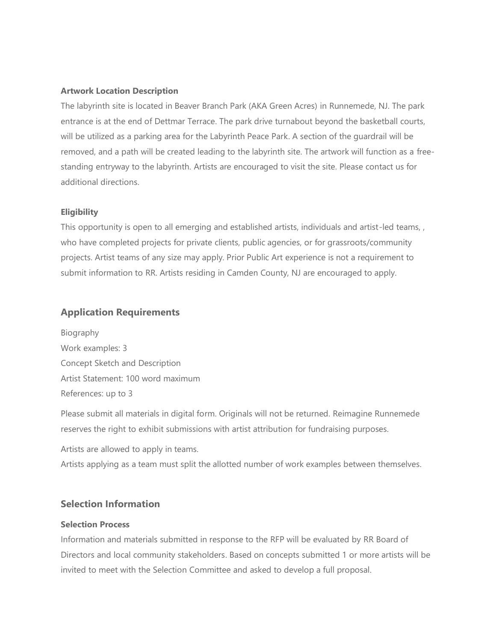#### **Artwork Location Description**

The labyrinth site is located in Beaver Branch Park (AKA Green Acres) in Runnemede, NJ. The park entrance is at the end of Dettmar Terrace. The park drive turnabout beyond the basketball courts, will be utilized as a parking area for the Labyrinth Peace Park. A section of the guardrail will be removed, and a path will be created leading to the labyrinth site. The artwork will function as a freestanding entryway to the labyrinth. Artists are encouraged to visit the site. Please contact us for additional directions.

#### **Eligibility**

This opportunity is open to all emerging and established artists, individuals and artist-led teams, , who have completed projects for private clients, public agencies, or for grassroots/community projects. Artist teams of any size may apply. Prior Public Art experience is not a requirement to submit information to RR. Artists residing in Camden County, NJ are encouraged to apply.

#### **Application Requirements**

Biography Work examples: 3 Concept Sketch and Description Artist Statement: 100 word maximum References: up to 3

Please submit all materials in digital form. Originals will not be returned. Reimagine Runnemede reserves the right to exhibit submissions with artist attribution for fundraising purposes.

Artists are allowed to apply in teams.

Artists applying as a team must split the allotted number of work examples between themselves.

#### **Selection Information**

#### **Selection Process**

Information and materials submitted in response to the RFP will be evaluated by RR Board of Directors and local community stakeholders. Based on concepts submitted 1 or more artists will be invited to meet with the Selection Committee and asked to develop a full proposal.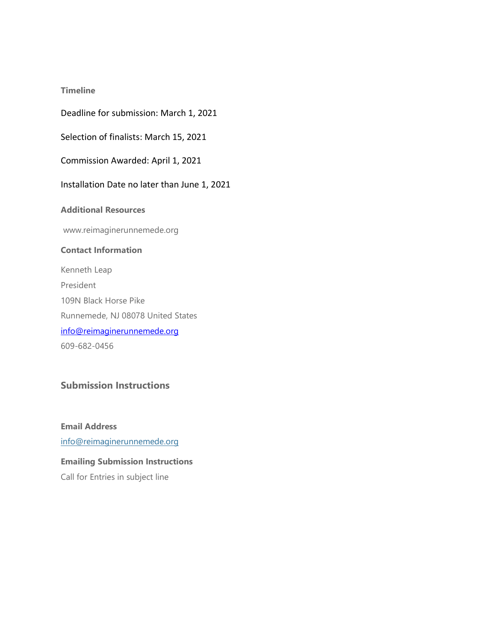#### **Timeline**

Deadline for submission: March 1, 2021

Selection of finalists: March 15, 2021

Commission Awarded: April 1, 2021

Installation Date no later than June 1, 2021

**Additional Resources**

www.reimaginerunnemede.org

#### **Contact Information**

Kenneth Leap President 109N Black Horse Pike Runnemede, NJ 08078 United States [info@reimaginerunnemede.org](mailto:info@reimaginerunnemede.org) 609-682-0456

### **Submission Instructions**

**Email Address** [info@reimaginerunnemede.org](mailto:kmb@keepmidlandbeautiful.org) **Emailing Submission Instructions**

Call for Entries in subject line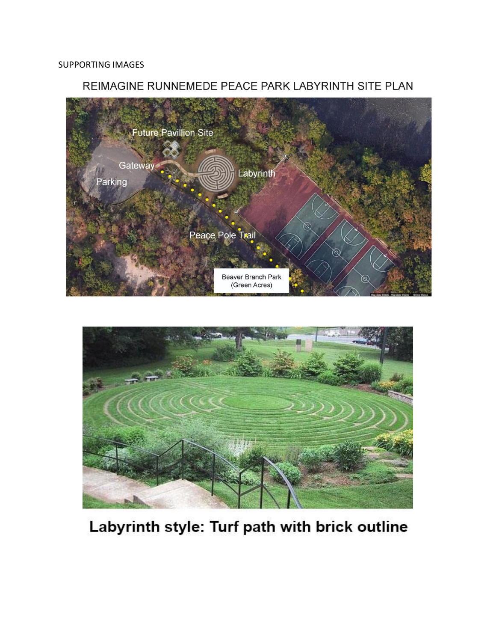### REIMAGINE RUNNEMEDE PEACE PARK LABYRINTH SITE PLAN





## Labyrinth style: Turf path with brick outline